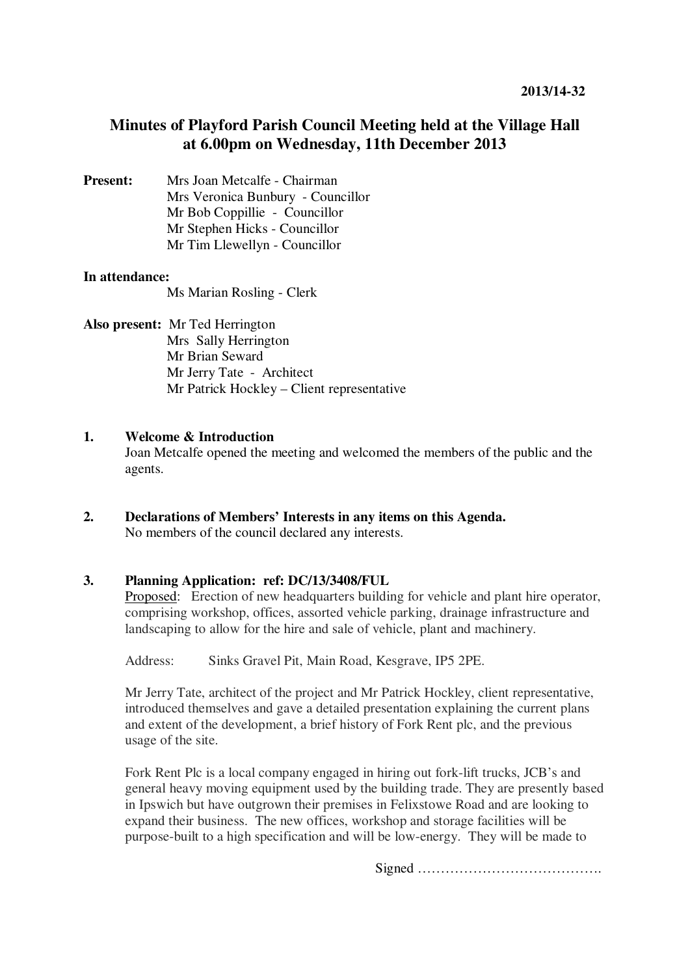# **Minutes of Playford Parish Council Meeting held at the Village Hall at 6.00pm on Wednesday, 11th December 2013**

**Present:** Mrs Joan Metcalfe - Chairman Mrs Veronica Bunbury - Councillor Mr Bob Coppillie - Councillor Mr Stephen Hicks - Councillor Mr Tim Llewellyn - Councillor

## **In attendance:**

Ms Marian Rosling - Clerk

#### **Also present:** Mr Ted Herrington

Mrs Sally Herrington Mr Brian Seward Mr Jerry Tate - Architect Mr Patrick Hockley – Client representative

#### **1. Welcome & Introduction**

Joan Metcalfe opened the meeting and welcomed the members of the public and the agents.

**2. Declarations of Members' Interests in any items on this Agenda.**  No members of the council declared any interests.

## **3. Planning Application: ref: DC/13/3408/FUL**

Proposed: Erection of new headquarters building for vehicle and plant hire operator, comprising workshop, offices, assorted vehicle parking, drainage infrastructure and landscaping to allow for the hire and sale of vehicle, plant and machinery.

Address: Sinks Gravel Pit, Main Road, Kesgrave, IP5 2PE.

Mr Jerry Tate, architect of the project and Mr Patrick Hockley, client representative, introduced themselves and gave a detailed presentation explaining the current plans and extent of the development, a brief history of Fork Rent plc, and the previous usage of the site.

Fork Rent Plc is a local company engaged in hiring out fork-lift trucks, JCB's and general heavy moving equipment used by the building trade. They are presently based in Ipswich but have outgrown their premises in Felixstowe Road and are looking to expand their business. The new offices, workshop and storage facilities will be purpose-built to a high specification and will be low-energy. They will be made to

Signed ………………………………….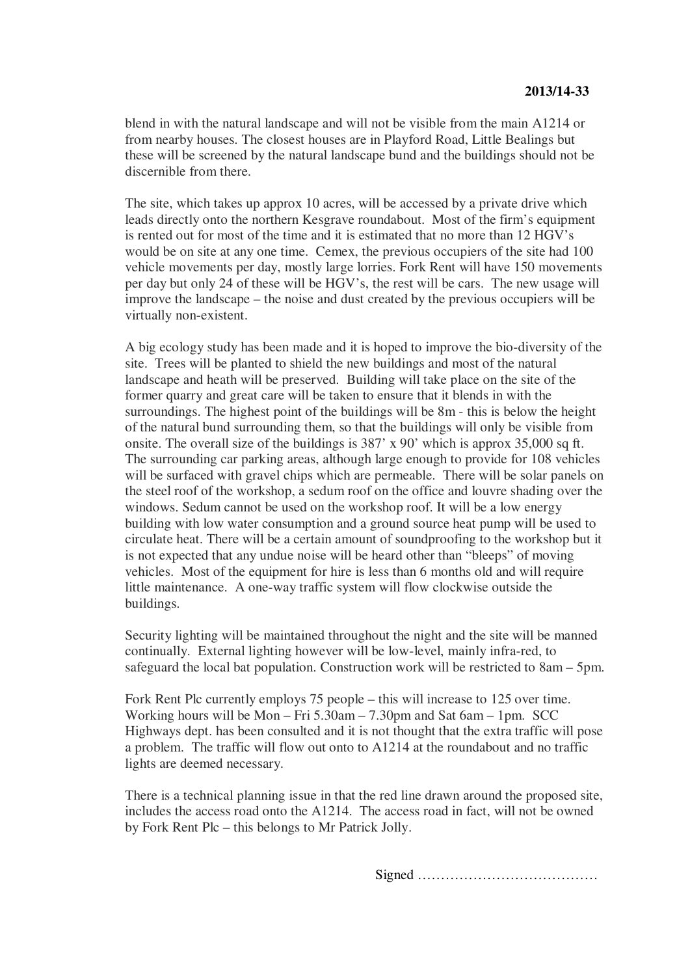blend in with the natural landscape and will not be visible from the main A1214 or from nearby houses. The closest houses are in Playford Road, Little Bealings but these will be screened by the natural landscape bund and the buildings should not be discernible from there.

The site, which takes up approx 10 acres, will be accessed by a private drive which leads directly onto the northern Kesgrave roundabout. Most of the firm's equipment is rented out for most of the time and it is estimated that no more than 12 HGV's would be on site at any one time. Cemex, the previous occupiers of the site had 100 vehicle movements per day, mostly large lorries. Fork Rent will have 150 movements per day but only 24 of these will be HGV's, the rest will be cars. The new usage will improve the landscape – the noise and dust created by the previous occupiers will be virtually non-existent.

A big ecology study has been made and it is hoped to improve the bio-diversity of the site. Trees will be planted to shield the new buildings and most of the natural landscape and heath will be preserved. Building will take place on the site of the former quarry and great care will be taken to ensure that it blends in with the surroundings. The highest point of the buildings will be 8m - this is below the height of the natural bund surrounding them, so that the buildings will only be visible from onsite. The overall size of the buildings is 387' x 90' which is approx 35,000 sq ft. The surrounding car parking areas, although large enough to provide for 108 vehicles will be surfaced with gravel chips which are permeable. There will be solar panels on the steel roof of the workshop, a sedum roof on the office and louvre shading over the windows. Sedum cannot be used on the workshop roof. It will be a low energy building with low water consumption and a ground source heat pump will be used to circulate heat. There will be a certain amount of soundproofing to the workshop but it is not expected that any undue noise will be heard other than "bleeps" of moving vehicles. Most of the equipment for hire is less than 6 months old and will require little maintenance. A one-way traffic system will flow clockwise outside the buildings.

Security lighting will be maintained throughout the night and the site will be manned continually. External lighting however will be low-level, mainly infra-red, to safeguard the local bat population. Construction work will be restricted to 8am – 5pm.

Fork Rent Plc currently employs 75 people – this will increase to 125 over time. Working hours will be Mon – Fri 5.30am – 7.30pm and Sat 6am – 1pm. SCC Highways dept. has been consulted and it is not thought that the extra traffic will pose a problem. The traffic will flow out onto to A1214 at the roundabout and no traffic lights are deemed necessary.

There is a technical planning issue in that the red line drawn around the proposed site, includes the access road onto the A1214. The access road in fact, will not be owned by Fork Rent Plc – this belongs to Mr Patrick Jolly.

Signed …………………………………